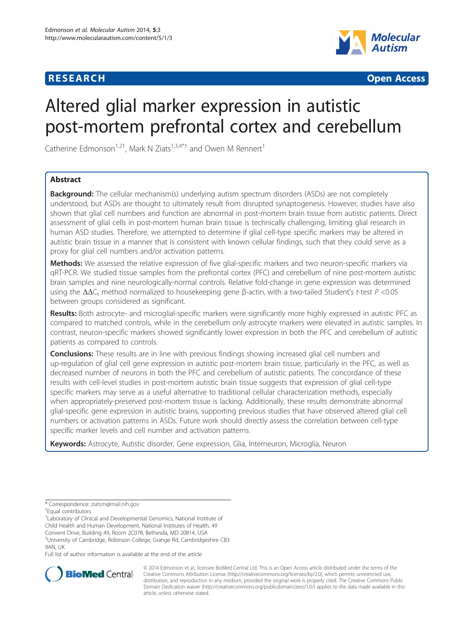



# Altered glial marker expression in autistic post-mortem prefrontal cortex and cerebellum

Catherine Edmonson<sup>1,2†</sup>, Mark N Ziats<sup>1,3,4\*†</sup> and Owen M Rennert<sup>1</sup>

# Abstract

**Background:** The cellular mechanism(s) underlying autism spectrum disorders (ASDs) are not completely understood, but ASDs are thought to ultimately result from disrupted synaptogenesis. However, studies have also shown that glial cell numbers and function are abnormal in post-mortem brain tissue from autistic patients. Direct assessment of glial cells in post-mortem human brain tissue is technically challenging, limiting glial research in human ASD studies. Therefore, we attempted to determine if glial cell-type specific markers may be altered in autistic brain tissue in a manner that is consistent with known cellular findings, such that they could serve as a proxy for glial cell numbers and/or activation patterns.

Methods: We assessed the relative expression of five glial-specific markers and two neuron-specific markers via qRT-PCR. We studied tissue samples from the prefrontal cortex (PFC) and cerebellum of nine post-mortem autistic brain samples and nine neurologically-normal controls. Relative fold-change in gene expression was determined using the  $\Delta\Delta C_t$  method normalized to housekeeping gene β-actin, with a two-tailed Student's t-test  $P \le 0.05$ between groups considered as significant.

Results: Both astrocyte- and microglial-specific markers were significantly more highly expressed in autistic PFC as compared to matched controls, while in the cerebellum only astrocyte markers were elevated in autistic samples. In contrast, neuron-specific markers showed significantly lower expression in both the PFC and cerebellum of autistic patients as compared to controls.

**Conclusions:** These results are in line with previous findings showing increased glial cell numbers and up-regulation of glial cell gene expression in autistic post-mortem brain tissue, particularly in the PFC, as well as decreased number of neurons in both the PFC and cerebellum of autistic patients. The concordance of these results with cell-level studies in post-mortem autistic brain tissue suggests that expression of glial cell-type specific markers may serve as a useful alternative to traditional cellular characterization methods, especially when appropriately-preserved post-mortem tissue is lacking. Additionally, these results demonstrate abnormal glial-specific gene expression in autistic brains, supporting previous studies that have observed altered glial cell numbers or activation patterns in ASDs. Future work should directly assess the correlation between cell-type specific marker levels and cell number and activation patterns.

Keywords: Astrocyte, Autistic disorder, Gene expression, Glia, Interneuron, Microglia, Neuron

<sup>1</sup> Laboratory of Clinical and Developmental Genomics, National Institute of

Convent Drive, Building 49, Room 2C078, Bethesda, MD 20814, USA

<sup>3</sup>University of Cambridge, Robinson College, Grange Rd, Cambridgeshire CB3 9AN, UK

Full list of author information is available at the end of the article



© 2014 Edmonson et al.; licensee BioMed Central Ltd. This is an Open Access article distributed under the terms of the Creative Commons Attribution License (<http://creativecommons.org/licenses/by/2.0>), which permits unrestricted use, distribution, and reproduction in any medium, provided the original work is properly cited. The Creative Commons Public Domain Dedication waiver [\(http://creativecommons.org/publicdomain/zero/1.0/\)](http://creativecommons.org/publicdomain/zero/1.0/) applies to the data made available in this article, unless otherwise stated.

<sup>\*</sup> Correspondence: [ziatsm@mail.nih.gov](mailto:ziatsm@mail.nih.gov) †

Equal contributors

Child Health and Human Development, National Institutes of Health, 49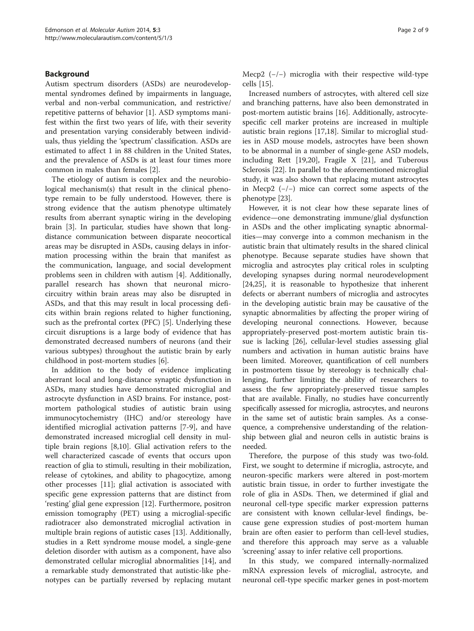# Background

Autism spectrum disorders (ASDs) are neurodevelopmental syndromes defined by impairments in language, verbal and non-verbal communication, and restrictive/ repetitive patterns of behavior [\[1](#page-7-0)]. ASD symptoms manifest within the first two years of life, with their severity and presentation varying considerably between individuals, thus yielding the 'spectrum' classification. ASDs are estimated to affect 1 in 88 children in the United States, and the prevalence of ASDs is at least four times more common in males than females [\[2](#page-7-0)].

The etiology of autism is complex and the neurobiological mechanism(s) that result in the clinical phenotype remain to be fully understood. However, there is strong evidence that the autism phenotype ultimately results from aberrant synaptic wiring in the developing brain [[3\]](#page-7-0). In particular, studies have shown that longdistance communication between disparate neocortical areas may be disrupted in ASDs, causing delays in information processing within the brain that manifest as the communication, language, and social development problems seen in children with autism [\[4](#page-7-0)]. Additionally, parallel research has shown that neuronal microcircuitry within brain areas may also be disrupted in ASDs, and that this may result in local processing deficits within brain regions related to higher functioning, such as the prefrontal cortex (PFC) [[5\]](#page-7-0). Underlying these circuit disruptions is a large body of evidence that has demonstrated decreased numbers of neurons (and their various subtypes) throughout the autistic brain by early childhood in post-mortem studies [[6\]](#page-7-0).

In addition to the body of evidence implicating aberrant local and long-distance synaptic dysfunction in ASDs, many studies have demonstrated microglial and astrocyte dysfunction in ASD brains. For instance, postmortem pathological studies of autistic brain using immunocytochemistry (IHC) and/or stereology have identified microglial activation patterns [\[7](#page-7-0)-[9\]](#page-7-0), and have demonstrated increased microglial cell density in multiple brain regions [\[8,10](#page-7-0)]. Glial activation refers to the well characterized cascade of events that occurs upon reaction of glia to stimuli, resulting in their mobilization, release of cytokines, and ability to phagocytize, among other processes [[11](#page-7-0)]; glial activation is associated with specific gene expression patterns that are distinct from 'resting' glial gene expression [\[12](#page-7-0)]. Furthermore, positron emission tomography (PET) using a microglial-specific radiotracer also demonstrated microglial activation in multiple brain regions of autistic cases [\[13](#page-7-0)]. Additionally, studies in a Rett syndrome mouse model, a single-gene deletion disorder with autism as a component, have also demonstrated cellular microglial abnormalities [[14\]](#page-7-0), and a remarkable study demonstrated that autistic-like phenotypes can be partially reversed by replacing mutant Mecp2 (−/−) microglia with their respective wild-type cells [[15](#page-7-0)].

Increased numbers of astrocytes, with altered cell size and branching patterns, have also been demonstrated in post-mortem autistic brains [[16\]](#page-7-0). Additionally, astrocytespecific cell marker proteins are increased in multiple autistic brain regions [[17](#page-7-0),[18](#page-7-0)]. Similar to microglial studies in ASD mouse models, astrocytes have been shown to be abnormal in a number of single-gene ASD models, including Rett [[19,20\]](#page-7-0), Fragile X [\[21\]](#page-7-0), and Tuberous Sclerosis [\[22\]](#page-7-0). In parallel to the aforementioned microglial study, it was also shown that replacing mutant astrocytes in Mecp2 (−/−) mice can correct some aspects of the phenotype [\[23\]](#page-7-0).

However, it is not clear how these separate lines of evidence—one demonstrating immune/glial dysfunction in ASDs and the other implicating synaptic abnormalities—may converge into a common mechanism in the autistic brain that ultimately results in the shared clinical phenotype. Because separate studies have shown that microglia and astrocytes play critical roles in sculpting developing synapses during normal neurodevelopment [[24,25\]](#page-7-0), it is reasonable to hypothesize that inherent defects or aberrant numbers of microglia and astrocytes in the developing autistic brain may be causative of the synaptic abnormalities by affecting the proper wiring of developing neuronal connections. However, because appropriately-preserved post-mortem autistic brain tissue is lacking [[26\]](#page-7-0), cellular-level studies assessing glial numbers and activation in human autistic brains have been limited. Moreover, quantification of cell numbers in postmortem tissue by stereology is technically challenging, further limiting the ability of researchers to assess the few appropriately-preserved tissue samples that are available. Finally, no studies have concurrently specifically assessed for microglia, astrocytes, and neurons in the same set of autistic brain samples. As a consequence, a comprehensive understanding of the relationship between glial and neuron cells in autistic brains is needed.

Therefore, the purpose of this study was two-fold. First, we sought to determine if microglia, astrocyte, and neuron-specific markers were altered in post-mortem autistic brain tissue, in order to further investigate the role of glia in ASDs. Then, we determined if glial and neuronal cell-type specific marker expression patterns are consistent with known cellular-level findings, because gene expression studies of post-mortem human brain are often easier to perform than cell-level studies, and therefore this approach may serve as a valuable 'screening' assay to infer relative cell proportions.

In this study, we compared internally-normalized mRNA expression levels of microglial, astrocyte, and neuronal cell-type specific marker genes in post-mortem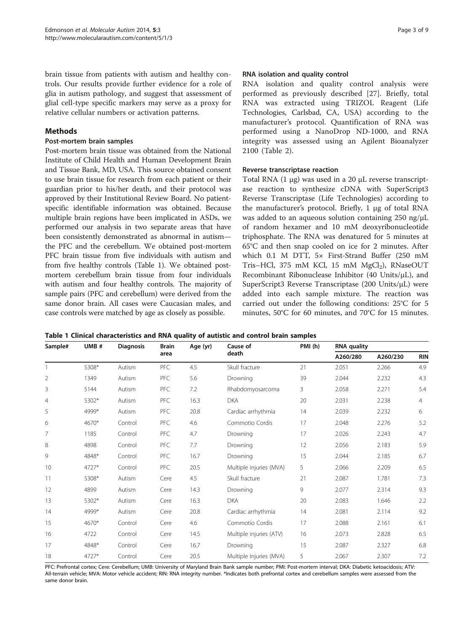<span id="page-2-0"></span>brain tissue from patients with autism and healthy controls. Our results provide further evidence for a role of glia in autism pathology, and suggest that assessment of glial cell-type specific markers may serve as a proxy for relative cellular numbers or activation patterns.

# Methods

# Post-mortem brain samples

Post-mortem brain tissue was obtained from the National Institute of Child Health and Human Development Brain and Tissue Bank, MD, USA. This source obtained consent to use brain tissue for research from each patient or their guardian prior to his/her death, and their protocol was approved by their Institutional Review Board. No patientspecific identifiable information was obtained. Because multiple brain regions have been implicated in ASDs, we performed our analysis in two separate areas that have been consistently demonstrated as abnormal in autism the PFC and the cerebellum. We obtained post-mortem PFC brain tissue from five individuals with autism and from five healthy controls (Table 1). We obtained postmortem cerebellum brain tissue from four individuals with autism and four healthy controls. The majority of sample pairs (PFC and cerebellum) were derived from the same donor brain. All cases were Caucasian males, and case controls were matched by age as closely as possible.

# RNA isolation and quality control

RNA isolation and quality control analysis were performed as previously described [\[27](#page-7-0)]. Briefly, total RNA was extracted using TRIZOL Reagent (Life Technologies, Carlsbad, CA, USA) according to the manufacturer's protocol. Quantification of RNA was performed using a NanoDrop ND-1000, and RNA integrity was assessed using an Agilent Bioanalyzer 2100 (Table [2](#page-3-0)).

## Reverse transcriptase reaction

Total RNA (1 μg) was used in a 20 μL reverse transcriptase reaction to synthesize cDNA with SuperScript3 Reverse Transcriptase (Life Technologies) according to the manufacturer's protocol. Briefly, 1 μg of total RNA was added to an aqueous solution containing 250 ng/μL of random hexamer and 10 mM deoxyribonucleotide triphosphate. The RNA was denatured for 5 minutes at 65°C and then snap cooled on ice for 2 minutes. After which 0.1 M DTT, 5× First-Strand Buffer (250 mM Tris-HCl, 375 mM KCl, 15 mM  $MgCl<sub>2</sub>$ ), RNaseOUT Recombinant Ribonuclease Inhibitor (40 Units/μL), and SuperScript3 Reverse Transcriptase (200 Units/μL) were added into each sample mixture. The reaction was carried out under the following conditions: 25°C for 5 minutes, 50°C for 60 minutes, and 70°C for 15 minutes.

|  |  | Table 1 Clinical characteristics and RNA quality of autistic and control brain samples |  |  |  |  |  |  |
|--|--|----------------------------------------------------------------------------------------|--|--|--|--|--|--|
|--|--|----------------------------------------------------------------------------------------|--|--|--|--|--|--|

| Sample#        | UMB <sup>#</sup> | <b>Diagnosis</b> | <b>Brain</b><br>area | Age (yr) | Cause of                | PMI(h) | <b>RNA</b> quality |          |                |
|----------------|------------------|------------------|----------------------|----------|-------------------------|--------|--------------------|----------|----------------|
|                |                  |                  |                      |          | death                   |        | A260/280           | A260/230 | <b>RIN</b>     |
|                | 5308*            | Autism           | PFC                  | 4.5      | Skull fracture          | 21     | 2.051              | 2.266    | 4.9            |
| $\overline{2}$ | 1349             | Autism           | PFC                  | 5.6      | Drowning                | 39     | 2.044              | 2.232    | 4.3            |
| 3              | 5144             | Autism           | PFC                  | 7.2      | Rhabdomyosarcoma        | 3      | 2.058              | 2.271    | 5.4            |
| $\overline{4}$ | 5302*            | Autism           | <b>PFC</b>           | 16.3     | <b>DKA</b>              | 20     | 2.031              | 2.238    | $\overline{4}$ |
| 5              | 4999*            | Autism           | PFC                  | 20.8     | Cardiac arrhythmia      | 14     | 2.039              | 2.232    | 6              |
| 6              | 4670*            | Control          | PFC                  | 4.6      | Commotio Cordis         | 17     | 2.048              | 2.276    | 5.2            |
| 7              | 1185             | Control          | PFC                  | 4.7      | Drowning                | 17     | 2.026              | 2.243    | 4.7            |
| 8              | 4898             | Control          | PFC                  | 7.7      | Drowning                | 12     | 2.056              | 2.183    | 5.9            |
| 9              | 4848*            | Control          | <b>PFC</b>           | 16.7     | Drowning                | 15     | 2.044              | 2.185    | 6.7            |
| 10             | 4727*            | Control          | PFC                  | 20.5     | Multiple injuries (MVA) | 5      | 2.066              | 2.209    | 6.5            |
| 11             | 5308*            | Autism           | Cere                 | 4.5      | Skull fracture          | 21     | 2.087              | 1.781    | 7.3            |
| 12             | 4899             | Autism           | Cere                 | 14.3     | Drowning                | 9      | 2.077              | 2.314    | 9.3            |
| 13             | 5302*            | Autism           | Cere                 | 16.3     | <b>DKA</b>              | 20     | 2.083              | 1.646    | 2.2            |
| 14             | 4999*            | Autism           | Cere                 | 20.8     | Cardiac arrhythmia      | 14     | 2.081              | 2.114    | 9.2            |
| 15             | 4670*            | Control          | Cere                 | 4.6      | Commotio Cordis         | 17     | 2.088              | 2.161    | 6.1            |
| 16             | 4722             | Control          | Cere                 | 14.5     | Multiple injuries (ATV) | 16     | 2.073              | 2.828    | 6.5            |
| 17             | 4848*            | Control          | Cere                 | 16.7     | Drowning                | 15     | 2.087              | 2.327    | 6.8            |
| 18             | 4727*            | Control          | Cere                 | 20.5     | Multiple Injuries (MVA) | 5      | 2.067              | 2.307    | 7.2            |

PFC: Prefrontal cortex; Cere: Cerebellum; UMB: University of Maryland Brain Bank sample number; PMI: Post-mortem interval; DKA: Diabetic ketoacidosis; ATV: All-terrain vehicle; MVA: Motor vehicle accident; RIN: RNA integrity number. \*Indicates both prefrontal cortex and cerebellum samples were assessed from the same donor brain.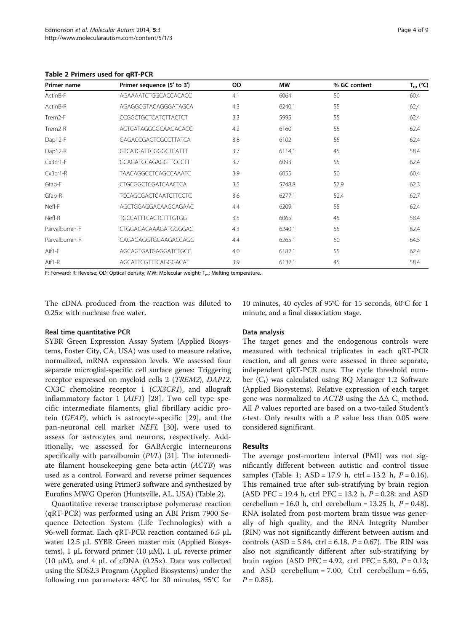#### <span id="page-3-0"></span>Table 2 Primers used for qRT-PCR

| Primer name   | Primer sequence (5' to 3')   | OD. | МW     | % GC content | $\mathsf{T}_{\mathsf{m}}$ (°C) |
|---------------|------------------------------|-----|--------|--------------|--------------------------------|
| ActinB-F      | AGAAAATCTGGCACCACACC         | 4.1 | 6064   | 50           | 60.4                           |
| ActinB-R      | AGAGGCGTACAGGGATAGCA         | 4.3 | 6240.1 | 55           | 62.4                           |
| Trem2-F       | <b>CCGGCTGCTCATCTTACTCT</b>  | 3.3 | 5995   | 55           | 62.4                           |
| Trem2-R       | AGTCATAGGGGCAAGACACC         | 4.2 | 6160   | 55           | 62.4                           |
| Dap12-F       | GAGACCGAGTCGCCTTATCA         | 3.8 | 6102   | 55           | 62.4                           |
| Dap12-R       | <b>GTCATGATTCGGGCTCATTT</b>  | 3.7 | 6114.1 | 45           | 58.4                           |
| Cx3cr1-F      | GCAGATCCAGAGGTTCCCTT         | 3.7 | 6093   | 55           | 62.4                           |
| Cx3cr1-R      | TAACAGGCCTCAGCCAAATC         | 3.9 | 6055   | 50           | 60.4                           |
| Gfap-F        | CTGCGGCTCGATCAACTCA          | 3.5 | 5748.8 | 57.9         | 62.3                           |
| Gfap-R        | <b>TCCAGCGACTCAATCTTCCTC</b> | 3.6 | 6277.1 | 52.4         | 62.7                           |
| Nefl-F        | AGCTGGAGGACAAGCAGAAC         | 4.4 | 6209.1 | 55           | 62.4                           |
| Nefl-R        | <b>TGCCATTTCACTCTTTGTGG</b>  | 3.5 | 6065   | 45           | 58.4                           |
| Parvalbumin-F | CTGGAGACAAAGATGGGGAC         | 4.3 | 6240.1 | 55           | 62.4                           |
| Parvalbumin-R | CAGAGAGGTGGAAGACCAGG         | 4.4 | 6265.1 | 60           | 64.5                           |
| Aif1-F        | AGCAGTGATGAGGATCTGCC         | 4.0 | 6182.1 | 55           | 62.4                           |
| Aif1-R        | AGCATTCGTTTCAGGGACAT         | 3.9 | 6132.1 | 45           | 58.4                           |
|               |                              |     |        |              |                                |

F: Forward; R: Reverse; OD: Optical density; MW: Molecular weight; T<sub>m</sub>: Melting temperature.

The cDNA produced from the reaction was diluted to 0.25× with nuclease free water.

#### Real time quantitative PCR

SYBR Green Expression Assay System (Applied Biosystems, Foster City, CA, USA) was used to measure relative, normalized, mRNA expression levels. We assessed four separate microglial-specific cell surface genes: Triggering receptor expressed on myeloid cells 2 (TREM2), DAP12, CX3C chemokine receptor 1 (CX3CR1), and allograft inflammatory factor 1 (AIF1) [[28\]](#page-8-0). Two cell type specific intermediate filaments, glial fibrillary acidic protein (GFAP), which is astrocyte-specific [[29](#page-8-0)], and the pan-neuronal cell marker NEFL [[30\]](#page-8-0), were used to assess for astrocytes and neurons, respectively. Additionally, we assessed for GABAergic interneurons specifically with parvalbumin  $(PVL)$  [[31](#page-8-0)]. The intermediate filament housekeeping gene beta-actin (ACTB) was used as a control. Forward and reverse primer sequences were generated using Primer3 software and synthesized by Eurofins MWG Operon (Huntsville, AL, USA) (Table 2).

Quantitative reverse transcriptase polymerase reaction (qRT-PCR) was performed using an ABI Prism 7900 Sequence Detection System (Life Technologies) with a 96-well format. Each qRT-PCR reaction contained 6.5 μL water, 12.5 μL SYBR Green master mix (Applied Biosystems), 1 μL forward primer (10 μM), 1 μL reverse primer (10  $\mu$ M), and 4  $\mu$ L of cDNA (0.25 $\times$ ). Data was collected using the SDS2.3 Program (Applied Biosystems) under the following run parameters: 48°C for 30 minutes, 95°C for 10 minutes, 40 cycles of 95°C for 15 seconds, 60°C for 1 minute, and a final dissociation stage.

# Data analysis

The target genes and the endogenous controls were measured with technical triplicates in each qRT-PCR reaction, and all genes were assessed in three separate, independent qRT-PCR runs. The cycle threshold number  $(C_t)$  was calculated using RQ Manager 1.2 Software (Applied Biosystems). Relative expression of each target gene was normalized to  $ACTB$  using the  $\Delta\Delta C_t$  method. All P values reported are based on a two-tailed Student's t-test. Only results with a  $P$  value less than 0.05 were considered significant.

# Results

The average post-mortem interval (PMI) was not significantly different between autistic and control tissue samples (Table [1](#page-2-0);  $ASD = 17.9$  h,  $ctrl = 13.2$  h,  $P = 0.16$ ). This remained true after sub-stratifying by brain region (ASD PFC = 19.4 h, ctrl PFC = 13.2 h,  $P = 0.28$ ; and ASD cerebellum = 16.0 h, ctrl cerebellum = 13.25 h,  $P = 0.48$ ). RNA isolated from post-mortem brain tissue was generally of high quality, and the RNA Integrity Number (RIN) was not significantly different between autism and controls (ASD = 5.84, ctrl = 6.18,  $P = 0.67$ ). The RIN was also not significantly different after sub-stratifying by brain region (ASD PFC = 4.92, ctrl PFC = 5.80,  $P = 0.13$ ; and  $ASD$  cerebellum = 7.00, Ctrl cerebellum = 6.65,  $P = 0.85$ .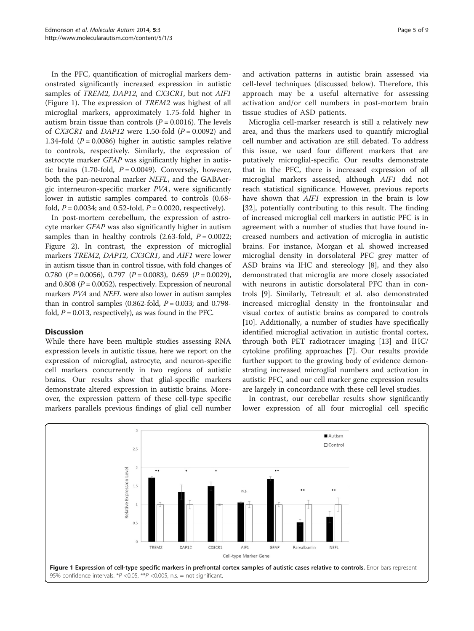In the PFC, quantification of microglial markers demonstrated significantly increased expression in autistic samples of TREM2, DAP12, and CX3CR1, but not AIF1 (Figure 1). The expression of TREM2 was highest of all microglial markers, approximately 1.75-fold higher in autism brain tissue than controls  $(P = 0.0016)$ . The levels of CX3CR1 and DAP12 were 1.50-fold  $(P = 0.0092)$  and 1.34-fold ( $P = 0.0086$ ) higher in autistic samples relative to controls, respectively. Similarly, the expression of astrocyte marker GFAP was significantly higher in autistic brains (1.70-fold,  $P = 0.0049$ ). Conversely, however, both the pan-neuronal marker NEFL, and the GABAergic interneuron-specific marker PVA, were significantly lower in autistic samples compared to controls (0.68 fold,  $P = 0.0034$ ; and 0.52-fold,  $P = 0.0020$ , respectively).

In post-mortem cerebellum, the expression of astrocyte marker GFAP was also significantly higher in autism samples than in healthy controls  $(2.63-fold, P = 0.0022;$ Figure [2](#page-5-0)). In contrast, the expression of microglial markers TREM2, DAP12, CX3CR1, and AIF1 were lower in autism tissue than in control tissue, with fold changes of 0.780  $(P = 0.0056)$ , 0.797  $(P = 0.0083)$ , 0.659  $(P = 0.0029)$ , and 0.808 ( $P = 0.0052$ ), respectively. Expression of neuronal markers PVA and NEFL were also lower in autism samples than in control samples (0.862-fold,  $P = 0.033$ ; and 0.798fold,  $P = 0.013$ , respectively), as was found in the PFC.

# **Discussion**

While there have been multiple studies assessing RNA expression levels in autistic tissue, here we report on the expression of microglial, astrocyte, and neuron-specific cell markers concurrently in two regions of autistic brains. Our results show that glial-specific markers demonstrate altered expression in autistic brains. Moreover, the expression pattern of these cell-type specific markers parallels previous findings of glial cell number

and activation patterns in autistic brain assessed via cell-level techniques (discussed below). Therefore, this approach may be a useful alternative for assessing activation and/or cell numbers in post-mortem brain tissue studies of ASD patients.

Microglia cell-marker research is still a relatively new area, and thus the markers used to quantify microglial cell number and activation are still debated. To address this issue, we used four different markers that are putatively microglial-specific. Our results demonstrate that in the PFC, there is increased expression of all microglial markers assessed, although AIF1 did not reach statistical significance. However, previous reports have shown that *AIF1* expression in the brain is low [[32\]](#page-8-0), potentially contributing to this result. The finding of increased microglial cell markers in autistic PFC is in agreement with a number of studies that have found increased numbers and activation of microglia in autistic brains. For instance, Morgan et al. showed increased microglial density in dorsolateral PFC grey matter of ASD brains via IHC and stereology [[8\]](#page-7-0), and they also demonstrated that microglia are more closely associated with neurons in autistic dorsolateral PFC than in controls [[9\]](#page-7-0). Similarly, Tetreault et al. also demonstrated increased microglial density in the frontoinsular and visual cortex of autistic brains as compared to controls [[10\]](#page-7-0). Additionally, a number of studies have specifically identified microglial activation in autistic frontal cortex, through both PET radiotracer imaging [\[13](#page-7-0)] and IHC/ cytokine profiling approaches [[7](#page-7-0)]. Our results provide further support to the growing body of evidence demonstrating increased microglial numbers and activation in autistic PFC, and our cell marker gene expression results are largely in concordance with these cell level studies.

In contrast, our cerebellar results show significantly lower expression of all four microglial cell specific

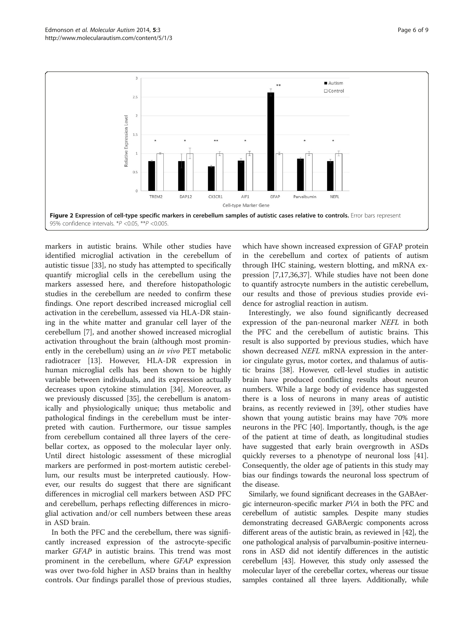<span id="page-5-0"></span>

markers in autistic brains. While other studies have identified microglial activation in the cerebellum of autistic tissue [\[33\]](#page-8-0), no study has attempted to specifically quantify microglial cells in the cerebellum using the markers assessed here, and therefore histopathologic studies in the cerebellum are needed to confirm these findings. One report described increased microglial cell activation in the cerebellum, assessed via HLA-DR staining in the white matter and granular cell layer of the cerebellum [\[7\]](#page-7-0), and another showed increased microglial activation throughout the brain (although most prominently in the cerebellum) using an in vivo PET metabolic radiotracer [\[13](#page-7-0)]. However, HLA-DR expression in human microglial cells has been shown to be highly variable between individuals, and its expression actually decreases upon cytokine stimulation [\[34\]](#page-8-0). Moreover, as we previously discussed [\[35\]](#page-8-0), the cerebellum is anatomically and physiologically unique; thus metabolic and pathological findings in the cerebellum must be interpreted with caution. Furthermore, our tissue samples from cerebellum contained all three layers of the cerebellar cortex, as opposed to the molecular layer only. Until direct histologic assessment of these microglial markers are performed in post-mortem autistic cerebellum, our results must be interpreted cautiously. However, our results do suggest that there are significant differences in microglial cell markers between ASD PFC and cerebellum, perhaps reflecting differences in microglial activation and/or cell numbers between these areas in ASD brain.

In both the PFC and the cerebellum, there was significantly increased expression of the astrocyte-specific marker GFAP in autistic brains. This trend was most prominent in the cerebellum, where GFAP expression was over two-fold higher in ASD brains than in healthy controls. Our findings parallel those of previous studies,

which have shown increased expression of GFAP protein in the cerebellum and cortex of patients of autism through IHC staining, western blotting, and mRNA expression [[7](#page-7-0),[17](#page-7-0),[36](#page-8-0),[37](#page-8-0)]. While studies have not been done to quantify astrocyte numbers in the autistic cerebellum, our results and those of previous studies provide evidence for astroglial reaction in autism.

Interestingly, we also found significantly decreased expression of the pan-neuronal marker NEFL in both the PFC and the cerebellum of autistic brains. This result is also supported by previous studies, which have shown decreased NEFL mRNA expression in the anterior cingulate gyrus, motor cortex, and thalamus of autistic brains [[38](#page-8-0)]. However, cell-level studies in autistic brain have produced conflicting results about neuron numbers. While a large body of evidence has suggested there is a loss of neurons in many areas of autistic brains, as recently reviewed in [[39\]](#page-8-0), other studies have shown that young autistic brains may have 70% more neurons in the PFC [\[40](#page-8-0)]. Importantly, though, is the age of the patient at time of death, as longitudinal studies have suggested that early brain overgrowth in ASDs quickly reverses to a phenotype of neuronal loss [\[41](#page-8-0)]. Consequently, the older age of patients in this study may bias our findings towards the neuronal loss spectrum of the disease.

Similarly, we found significant decreases in the GABAergic interneuron-specific marker PVA in both the PFC and cerebellum of autistic samples. Despite many studies demonstrating decreased GABAergic components across different areas of the autistic brain, as reviewed in [[42](#page-8-0)], the one pathological analysis of parvalbumin-positive interneurons in ASD did not identify differences in the autistic cerebellum [[43](#page-8-0)]. However, this study only assessed the molecular layer of the cerebellar cortex, whereas our tissue samples contained all three layers. Additionally, while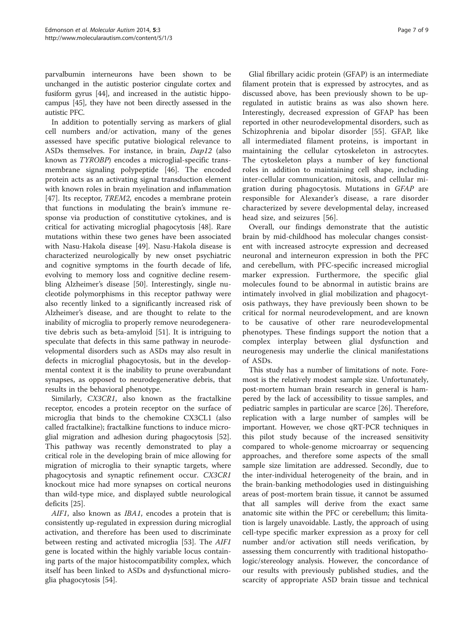parvalbumin interneurons have been shown to be unchanged in the autistic posterior cingulate cortex and fusiform gyrus [\[44](#page-8-0)], and increased in the autistic hippocampus [\[45\]](#page-8-0), they have not been directly assessed in the autistic PFC.

In addition to potentially serving as markers of glial cell numbers and/or activation, many of the genes assessed have specific putative biological relevance to ASDs themselves. For instance, in brain, Dap12 (also known as TYROBP) encodes a microglial-specific transmembrane signaling polypeptide [[46\]](#page-8-0). The encoded protein acts as an activating signal transduction element with known roles in brain myelination and inflammation [[47\]](#page-8-0). Its receptor, TREM2, encodes a membrane protein that functions in modulating the brain's immune response via production of constitutive cytokines, and is critical for activating microglial phagocytosis [[48](#page-8-0)]. Rare mutations within these two genes have been associated with Nasu-Hakola disease [\[49](#page-8-0)]. Nasu-Hakola disease is characterized neurologically by new onset psychiatric and cognitive symptoms in the fourth decade of life, evolving to memory loss and cognitive decline resembling Alzheimer's disease [[50](#page-8-0)]. Interestingly, single nucleotide polymorphisms in this receptor pathway were also recently linked to a significantly increased risk of Alzheimer's disease, and are thought to relate to the inability of microglia to properly remove neurodegenerative debris such as beta-amyloid [[51\]](#page-8-0). It is intriguing to speculate that defects in this same pathway in neurodevelopmental disorders such as ASDs may also result in defects in microglial phagocytosis, but in the developmental context it is the inability to prune overabundant synapses, as opposed to neurodegenerative debris, that results in the behavioral phenotype.

Similarly, CX3CR1, also known as the fractalkine receptor, encodes a protein receptor on the surface of microglia that binds to the chemokine CX3CL1 (also called fractalkine); fractalkine functions to induce microglial migration and adhesion during phagocytosis [\[52](#page-8-0)]. This pathway was recently demonstrated to play a critical role in the developing brain of mice allowing for migration of microglia to their synaptic targets, where phagocytosis and synaptic refinement occur. CX3CR1 knockout mice had more synapses on cortical neurons than wild-type mice, and displayed subtle neurological deficits [[25\]](#page-7-0).

AIF1, also known as IBA1, encodes a protein that is consistently up-regulated in expression during microglial activation, and therefore has been used to discriminate between resting and activated microglia [\[53](#page-8-0)]. The AIF1 gene is located within the highly variable locus containing parts of the major histocompatibility complex, which itself has been linked to ASDs and dysfunctional microglia phagocytosis [[54\]](#page-8-0).

Glial fibrillary acidic protein (GFAP) is an intermediate filament protein that is expressed by astrocytes, and as discussed above, has been previously shown to be upregulated in autistic brains as was also shown here. Interestingly, decreased expression of GFAP has been reported in other neurodevelopmental disorders, such as Schizophrenia and bipolar disorder [\[55](#page-8-0)]. GFAP, like all intermediated filament proteins, is important in maintaining the cellular cytoskeleton in astrocytes. The cytoskeleton plays a number of key functional roles in addition to maintaining cell shape, including inter-cellular communication, mitosis, and cellular migration during phagocytosis. Mutations in GFAP are responsible for Alexander's disease, a rare disorder characterized by severe developmental delay, increased head size, and seizures [\[56](#page-8-0)].

Overall, our findings demonstrate that the autistic brain by mid-childhood has molecular changes consistent with increased astrocyte expression and decreased neuronal and interneuron expression in both the PFC and cerebellum, with PFC-specific increased microglial marker expression. Furthermore, the specific glial molecules found to be abnormal in autistic brains are intimately involved in glial mobilization and phagocytosis pathways, they have previously been shown to be critical for normal neurodevelopment, and are known to be causative of other rare neurodevelopmental phenotypes. These findings support the notion that a complex interplay between glial dysfunction and neurogenesis may underlie the clinical manifestations of ASDs.

This study has a number of limitations of note. Foremost is the relatively modest sample size. Unfortunately, post-mortem human brain research in general is hampered by the lack of accessibility to tissue samples, and pediatric samples in particular are scarce [\[26\]](#page-7-0). Therefore, replication with a large number of samples will be important. However, we chose qRT-PCR techniques in this pilot study because of the increased sensitivity compared to whole-genome microarray or sequencing approaches, and therefore some aspects of the small sample size limitation are addressed. Secondly, due to the inter-individual heterogeneity of the brain, and in the brain-banking methodologies used in distinguishing areas of post-mortem brain tissue, it cannot be assumed that all samples will derive from the exact same anatomic site within the PFC or cerebellum; this limitation is largely unavoidable. Lastly, the approach of using cell-type specific marker expression as a proxy for cell number and/or activation still needs verification, by assessing them concurrently with traditional histopathologic/stereology analysis. However, the concordance of our results with previously published studies, and the scarcity of appropriate ASD brain tissue and technical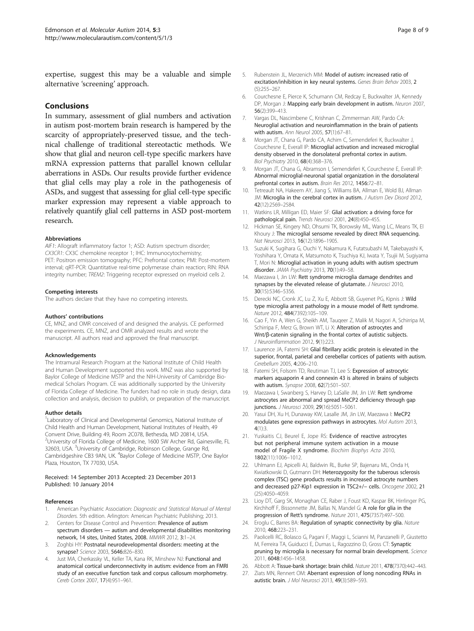<span id="page-7-0"></span>expertise, suggest this may be a valuable and simple alternative 'screening' approach.

#### Conclusions

In summary, assessment of glial numbers and activation in autism post-mortem brain research is hampered by the scarcity of appropriately-preserved tissue, and the technical challenge of traditional stereotactic methods. We show that glial and neuron cell-type specific markers have mRNA expression patterns that parallel known cellular aberrations in ASDs. Our results provide further evidence that glial cells may play a role in the pathogenesis of ASDs, and suggest that assessing for glial cell-type specific marker expression may represent a viable approach to relatively quantify glial cell patterns in ASD post-mortem research.

#### Abbreviations

AIF1: Allograft inflammatory factor 1; ASD: Autism spectrum disorder; CX3CR1: CX3C chemokine receptor 1; IHC: Immunocytochemistry; PET: Positron emission tomography; PFC: Prefrontal cortex; PMI: Post-mortem interval; qRT-PCR: Quantitative real-time polymerase chain reaction; RIN: RNA integrity number; TREM2: Triggering receptor expressed on myeloid cells 2.

#### Competing interests

The authors declare that they have no competing interests.

#### Authors' contributions

CE, MNZ, and OMR conceived of and designed the analysis. CE performed the experiments. CE, MNZ, and OMR analyzed results and wrote the manuscript. All authors read and approved the final manuscript.

#### Acknowledgements

The Intramural Research Program at the National Institute of Child Health and Human Development supported this work. MNZ was also supported by Baylor College of Medicine MSTP and the NIH-University of Cambridge Biomedical Scholars Program. CE was additionally supported by the University of Florida College of Medicine. The funders had no role in study design, data collection and analysis, decision to publish, or preparation of the manuscript.

#### Author details

<sup>1</sup> Laboratory of Clinical and Developmental Genomics, National Institute of Child Health and Human Development, National Institutes of Health, 49 Convent Drive, Building 49, Room 2C078, Bethesda, MD 20814, USA. <sup>2</sup>University of Florida College of Medicine, 1600 SW Archer Rd, Gainesville, FL 32603, USA. <sup>3</sup>University of Cambridge, Robinson College, Grange Rd, Cambridgeshire CB3 9AN, UK. <sup>4</sup>Baylor College of Medicine MSTP, One Baylor Plaza, Houston, TX 77030, USA.

#### Received: 14 September 2013 Accepted: 23 December 2013 Published: 10 January 2014

#### References

- 1. American Psychiatric Association: Diagnostic and Statistical Manual of Mental Disorders. 5th edition. Arlington: American Psychiatric Publishing; 2013.
- Centers for Disease Control and Prevention: Prevalence of autism spectrum disorders — autism and developmental disabilities monitoring network, 14 sites, United States, 2008. MMWR 2012, 3:1–24.
- Zoghbi HY: Postnatal neurodevelopmental disorders: meeting at the synapse? Science 2003, 5646:826–830.
- 4. Just MA, Cherkassky VL, Keller TA, Kana RK, Minshew NJ: Functional and anatomical cortical underconnectivity in autism: evidence from an FMRI study of an executive function task and corpus callosum morphometry. Cereb Cortex 2007, 17(4):951–961.
- 5. Rubenstein JL, Merzenich MM: Model of autism: increased ratio of excitation/inhibition in key neural systems. Genes Brain Behav 2003, 2 (5):255–267.
- 6. Courchesne E, Pierce K, Schumann CM, Redcay E, Buckwalter JA, Kennedy DP, Morgan J: Mapping early brain development in autism. Neuron 2007, 56(2):399–413.
- 7. Vargas DL, Nascimbene C, Krishnan C, Zimmerman AW, Pardo CA: Neuroglial activation and neuroinflammation in the brain of patients with autism. Ann Neurol 2005, 57(1):67–81.
- 8. Morgan JT, Chana G, Pardo CA, Achim C, Semendeferi K, Buckwalter J, Courchesne E, Everall IP: Microglial activation and increased microglial density observed in the dorsolateral prefrontal cortex in autism. Biol Psychiatry 2010, 68(4):368–376.
- 9. Morgan JT, Chana G, Abramson I, Semendeferi K, Courchesne E, Everall IP: Abnormal microglial-neuronal spatial organization in the dorsolateral prefrontal cortex in autism. Brain Res 2012, 1456:72–81.
- 10. Tetreault NA, Hakeem AY, Jiang S, Williams BA, Allman E, Wold BJ, Allman JM: Microglia in the cerebral cortex in autism. J Autism Dev Disord 2012, 42(12):2569–2584.
- 11. Watkins LR, Milligan ED, Maier SF: Glial activation: a driving force for pathological pain. Trends Neurosci 2001, 24(8):450–455.
- 12. Hickman SE, Kingery ND, Ohsumi TK, Borowsky ML, Wang LC, Means TK, El Khoury J: The microglial sensome revealed by direct RNA sequencing. Nat Neurosci 2013, 16(12):1896–1905.
- 13. Suzuki K, Sugihara G, Ouchi Y, Nakamura K, Futatsubashi M, Takebayashi K, Yoshihara Y, Omata K, Matsumoto K, Tsuchiya KJ, Iwata Y, Tsujii M, Sugiyama T, Mori N: Microglial activation in young adults with autism spectrum disorder. JAMA Psychiatry 2013, 70(1):49-58.
- 14. Maezawa I, Jin LW: Rett syndrome microglia damage dendrites and synapses by the elevated release of glutamate. J Neurosci 2010, 30(15):5346–5356.
- 15. Derecki NC, Cronk JC, Lu Z, Xu E, Abbott SB, Guyenet PG, Kipnis J: Wild type microglia arrest pathology in a mouse model of Rett syndrome. Nature 2012, 484(7392):105–109.
- 16. Cao F, Yin A, Wen G, Sheikh AM, Tauqeer Z, Malik M, Nagori A, Schirripa M, Schirripa F, Merz G, Brown WT, Li X: Alteration of astrocytes and Wnt/β-catenin signaling in the frontal cortex of autistic subjects. J Neuroinflammation 2012, 9(1):223.
- 17. Laurence JA, Fatemi SH: Glial fibrillary acidic protein is elevated in the superior, frontal, parietal and cerebellar cortices of patients with autism. Cerebellum 2005, 4:206–210.
- 18. Fatemi SH, Folsom TD, Reutiman TJ, Lee S: Expression of astrocytic markers aquaporin 4 and connexin 43 is altered in brains of subjects with autism. Synapse 2008, 62(7):501–507.
- 19. Maezawa I, Swanberg S, Harvey D, LaSalle JM, Jin LW: Rett syndrome astrocytes are abnormal and spread MeCP2 deficiency through gap junctions. J Neurosci 2009, 29(16):5051–5061.
- 20. Yasui DH, Xu H, Dunaway KW, Lasalle JM, Jin LW, Maezawa I: MeCP2 modulates gene expression pathways in astrocytes. Mol Autism 2013, 4(1):3.
- 21. Yuskaitis CJ, Beurel E, Jope RS: Evidence of reactive astrocytes but not peripheral immune system activation in a mouse model of Fragile X syndrome. Biochim Biophys Acta 2010, 1802(11):1006–1012.
- 22. Uhlmann EJ, Apicelli AJ, Baldwin RL, Burke SP, Bajenaru ML, Onda H, Kwiatkowski D, Gutmann DH: Heterozygosity for the tuberous sclerosis complex (TSC) gene products results in increased astrocyte numbers and decreased p27-Kip1 expression in TSC2+/− cells. Oncogene 2002, 21 (25):4050–4059.
- 23. Lioy DT, Garg SK, Monaghan CE, Raber J, Foust KD, Kaspar BK, Hirrlinger PG, Kirchhoff F, Bissonnette JM, Ballas N, Mandel G: A role for glia in the progression of Rett's syndrome. Nature 2011, 475(7357):497–500.
- 24. Eroglu C, Barres BA: Regulation of synaptic connectivity by glia. Nature 2010, 468:223–231.
- 25. Paolicelli RC, Bolasco G, Pagani F, Maggi L, Scianni M, Panzanelli P, Giustetto M, Ferreira TA, Guiducci E, Dumas L, Ragozzino D, Gross CT: Synaptic pruning by microglia is necessary for normal brain development. Science 2011, 6048:1456–1458.
- 26. Abbott A: Tissue-bank shortage: brain child. Nature 2011, 478(7370):442-443.
- 27. Ziats MN, Rennert OM: Aberrant expression of long noncoding RNAs in autistic brain. J Mol Neurosci 2013, 49(3):589–593.